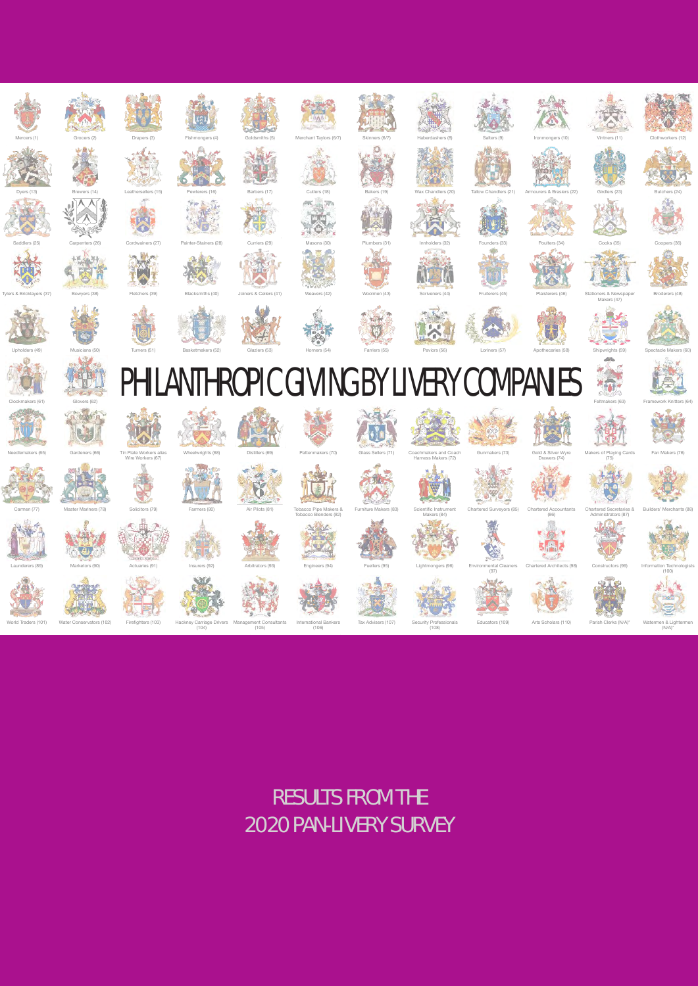

### RESULTS FROM THE 2020 PAN-LIVERY SURVEY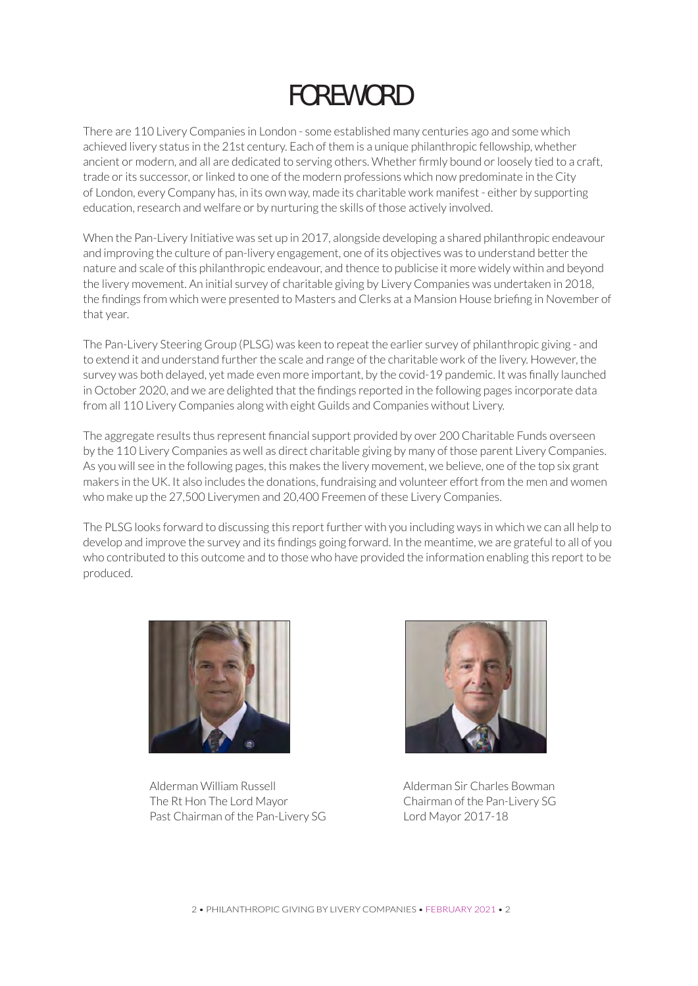### FOREWORD

There are 110 Livery Companies in London - some established many centuries ago and some which achieved livery status in the 21st century. Each of them is a unique philanthropic fellowship, whether ancient or modern, and all are dedicated to serving others. Whether firmly bound or loosely tied to a craft, trade or its successor, or linked to one of the modern professions which now predominate in the City of London, every Company has, in its own way, made its charitable work manifest - either by supporting education, research and welfare or by nurturing the skills of those actively involved.

When the Pan-Livery Initiative was set up in 2017, alongside developing a shared philanthropic endeavour and improving the culture of pan-livery engagement, one of its objectives was to understand better the nature and scale of this philanthropic endeavour, and thence to publicise it more widely within and beyond the livery movement. An initial survey of charitable giving by Livery Companies was undertaken in 2018, the findings from which were presented to Masters and Clerks at a Mansion House briefing in November of that year.

The Pan-Livery Steering Group (PLSG) was keen to repeat the earlier survey of philanthropic giving - and to extend it and understand further the scale and range of the charitable work of the livery. However, the survey was both delayed, yet made even more important, by the covid-19 pandemic. It was finally launched in October 2020, and we are delighted that the findings reported in the following pages incorporate data from all 110 Livery Companies along with eight Guilds and Companies without Livery.

The aggregate results thus represent financial support provided by over 200 Charitable Funds overseen by the 110 Livery Companies as well as direct charitable giving by many of those parent Livery Companies. As you will see in the following pages, this makes the livery movement, we believe, one of the top six grant makers in the UK. It also includes the donations, fundraising and volunteer effort from the men and women who make up the 27,500 Liverymen and 20,400 Freemen of these Livery Companies.

The PLSG looks forward to discussing this report further with you including ways in which we can all help to develop and improve the survey and its findings going forward. In the meantime, we are grateful to all of you who contributed to this outcome and to those who have provided the information enabling this report to be produced.



Alderman William Russell Alderman Sir Charles Bowman The Rt Hon The Lord Mayor Chairman of the Pan-Livery SG Past Chairman of the Pan-Livery SG Lord Mayor 2017-18

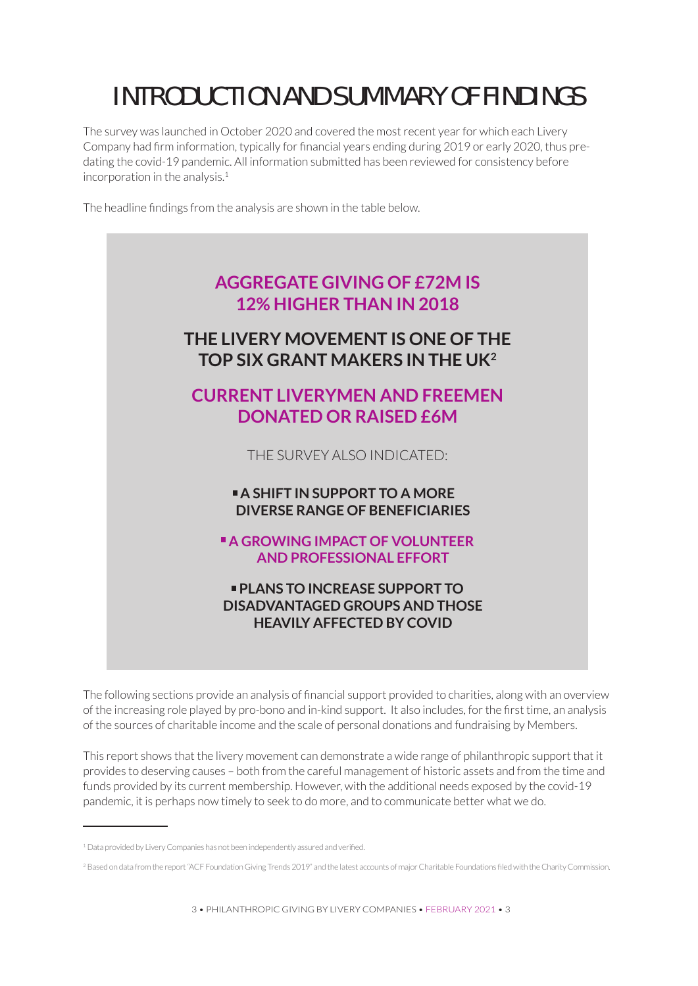### INTRODUCTION AND SUMMARY OF FINDINGS

The survey was launched in October 2020 and covered the most recent year for which each Livery Company had firm information, typically for financial years ending during 2019 or early 2020, thus predating the covid-19 pandemic. All information submitted has been reviewed for consistency before incorporation in the analysis. $1$ 

The headline findings from the analysis are shown in the table below.



The following sections provide an analysis of financial support provided to charities, along with an overview of the increasing role played by pro-bono and in-kind support. It also includes, for the first time, an analysis of the sources of charitable income and the scale of personal donations and fundraising by Members.

This report shows that the livery movement can demonstrate a wide range of philanthropic support that it provides to deserving causes – both from the careful management of historic assets and from the time and funds provided by its current membership. However, with the additional needs exposed by the covid-19 pandemic, it is perhaps now timely to seek to do more, and to communicate better what we do.

<sup>&</sup>lt;sup>1</sup> Data provided by Livery Companies has not been independently assured and verified.

<sup>&</sup>lt;sup>2</sup> Based on data from the report "ACF Foundation Giving Trends 2019" and the latest accounts of major Charitable Foundations filed with the Charity Commission.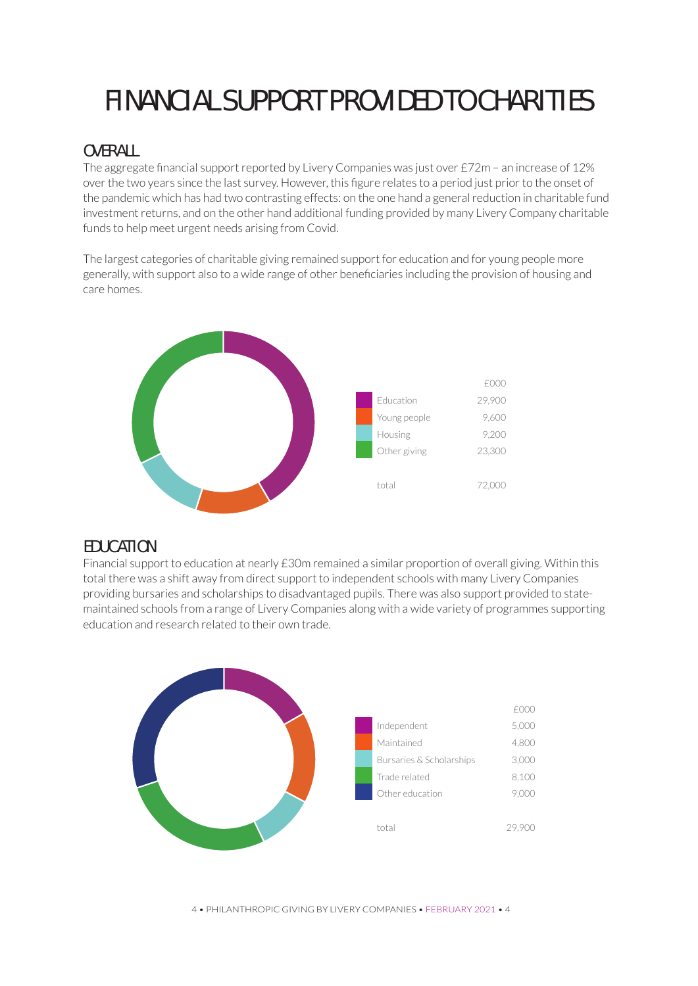# FINANCIAL SUPPORT PROVIDED TO CHARITIES

### **OVERALL**

The aggregate financial support reported by Livery Companies was just over £72m – an increase of 12% over the two years since the last survey. However, this figure relates to a period just prior to the onset of the pandemic which has had two contrasting effects: on the one hand a general reduction in charitable fund investment returns, and on the other hand additional funding provided by many Livery Company charitable funds to help meet urgent needs arising from Covid.

The largest categories of charitable giving remained support for education and for young people more generally, with support also to a wide range of other beneficiaries including the provision of housing and care homes.



### **EDUCATION**

Financial support to education at nearly £30m remained a similar proportion of overall giving. Within this total there was a shift away from direct support to independent schools with many Livery Companies providing bursaries and scholarships to disadvantaged pupils. There was also support provided to statemaintained schools from a range of Livery Companies along with a wide variety of programmes supporting education and research related to their own trade.



4 • PHILANTHROPIC GIVING BY LIVERY COMPANIES • FEBRUARY 2021 • 4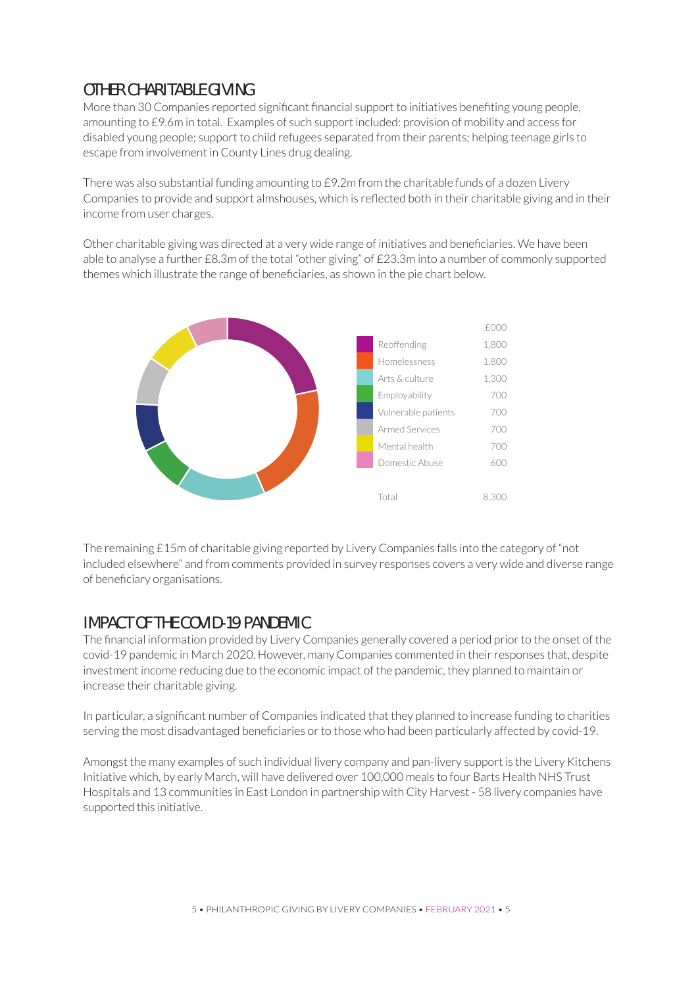### OTHER CHARITABLE GIVING

More than 30 Companies reported significant financial support to initiatives benefiting young people, amounting to £9.6m in total. Examples of such support included: provision of mobility and access for disabled young people; support to child refugees separated from their parents; helping teenage girls to escape from involvement in County Lines drug dealing.

There was also substantial funding amounting to £9.2m from the charitable funds of a dozen Livery Companies to provide and support almshouses, which is reflected both in their charitable giving and in their income from user charges.

Other charitable giving was directed at a very wide range of initiatives and beneficiaries. We have been able to analyse a further £8.3m of the total "other giving" of £23.3m into a number of commonly supported themes which illustrate the range of beneficiaries, as shown in the pie chart below.



The remaining £15m of charitable giving reported by Livery Companies falls into the category of "not included elsewhere" and from comments provided in survey responses covers a very wide and diverse range of beneficiary organisations.

### IMPACT OF THE COVID-19 PANDEMIC

The financial information provided by Livery Companies generally covered a period prior to the onset of the covid-19 pandemic in March 2020. However, many Companies commented in their responses that, despite investment income reducing due to the economic impact of the pandemic, they planned to maintain or increase their charitable giving.

In particular, a significant number of Companies indicated that they planned to increase funding to charities serving the most disadvantaged beneficiaries or to those who had been particularly affected by covid-19.

Amongst the many examples of such individual livery company and pan-livery support is the Livery Kitchens Initiative which, by early March, will have delivered over 100,000 meals to four Barts Health NHS Trust Hospitals and 13 communities in East London in partnership with City Harvest - 58 livery companies have supported this initiative.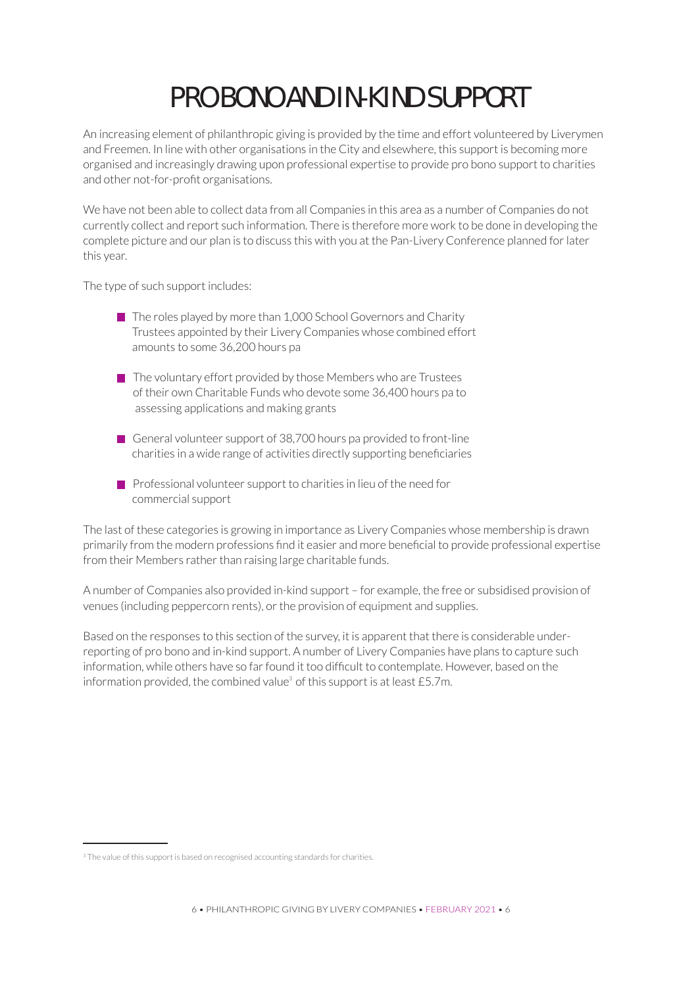# PRO BONO AND IN-KIND SUPPORT

An increasing element of philanthropic giving is provided by the time and effort volunteered by Liverymen and Freemen. In line with other organisations in the City and elsewhere, this support is becoming more organised and increasingly drawing upon professional expertise to provide pro bono support to charities and other not-for-profit organisations.

We have not been able to collect data from all Companies in this area as a number of Companies do not currently collect and report such information. There is therefore more work to be done in developing the complete picture and our plan is to discuss this with you at the Pan-Livery Conference planned for later this year.

The type of such support includes:

- The roles played by more than 1,000 School Governors and Charity Trustees appointed by their Livery Companies whose combined effort amounts to some 36,200 hours pa
- $\blacksquare$  The voluntary effort provided by those Members who are Trustees of their own Charitable Funds who devote some 36,400 hours pa to assessing applications and making grants
- General volunteer support of 38,700 hours pa provided to front-line charities in a wide range of activities directly supporting beneficiaries
- **Professional volunteer support to charities in lieu of the need for** commercial support

The last of these categories is growing in importance as Livery Companies whose membership is drawn primarily from the modern professions find it easier and more beneficial to provide professional expertise from their Members rather than raising large charitable funds.

A number of Companies also provided in-kind support – for example, the free or subsidised provision of venues (including peppercorn rents), or the provision of equipment and supplies.

Based on the responses to this section of the survey, it is apparent that there is considerable underreporting of pro bono and in-kind support. A number of Livery Companies have plans to capture such information, while others have so far found it too difficult to contemplate. However, based on the information provided, the combined value<sup>3</sup> of this support is at least £5.7m.

<sup>&</sup>lt;sup>3</sup> The value of this support is based on recognised accounting standards for charities.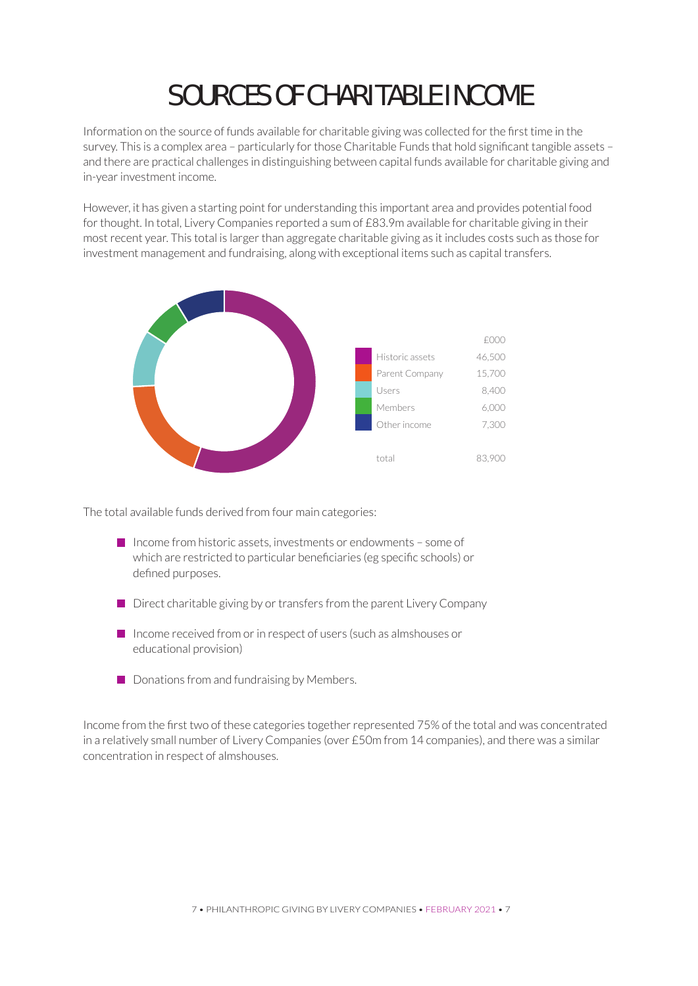# SOURCES OF CHARITABLE INCOME

Information on the source of funds available for charitable giving was collected for the first time in the survey. This is a complex area – particularly for those Charitable Funds that hold significant tangible assets – and there are practical challenges in distinguishing between capital funds available for charitable giving and in-year investment income.

However, it has given a starting point for understanding this important area and provides potential food for thought. In total, Livery Companies reported a sum of £83.9m available for charitable giving in their most recent year. This total is larger than aggregate charitable giving as it includes costs such as those for investment management and fundraising, along with exceptional items such as capital transfers.



The total available funds derived from four main categories:

- $\blacksquare$  Income from historic assets, investments or endowments some of which are restricted to particular beneficiaries (eg specific schools) or defined purposes.
- $\blacksquare$  Direct charitable giving by or transfers from the parent Livery Company
- $\blacksquare$  Income received from or in respect of users (such as almshouses or educational provision)
- $\Box$  Donations from and fundraising by Members.

Income from the first two of these categories together represented 75% of the total and was concentrated in a relatively small number of Livery Companies (over £50m from 14 companies), and there was a similar concentration in respect of almshouses.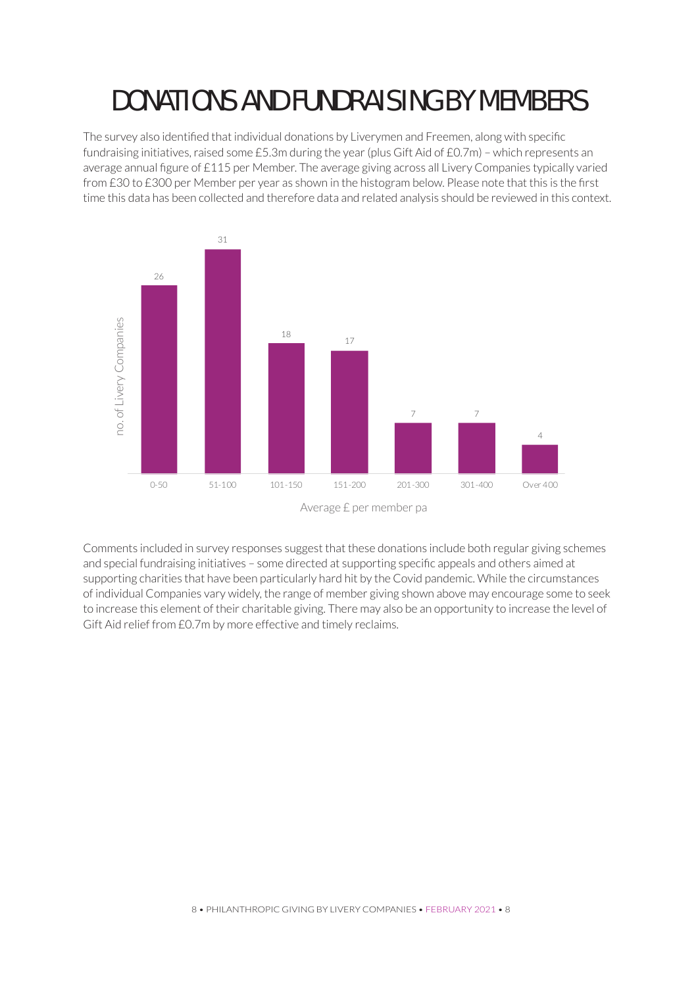### DONATIONS AND FUNDRAISING BY MEMBERS

The survey also identified that individual donations by Liverymen and Freemen, along with specific fundraising initiatives, raised some £5.3m during the year (plus Gift Aid of £0.7m) – which represents an average annual figure of £115 per Member. The average giving across all Livery Companies typically varied from £30 to £300 per Member per year as shown in the histogram below. Please note that this is the first time this data has been collected and therefore data and related analysis should be reviewed in this context.



Average £ per member pa

Comments included in survey responses suggest that these donations include both regular giving schemes and special fundraising initiatives – some directed at supporting specific appeals and others aimed at supporting charities that have been particularly hard hit by the Covid pandemic. While the circumstances of individual Companies vary widely, the range of member giving shown above may encourage some to seek to increase this element of their charitable giving. There may also be an opportunity to increase the level of Gift Aid relief from £0.7m by more effective and timely reclaims.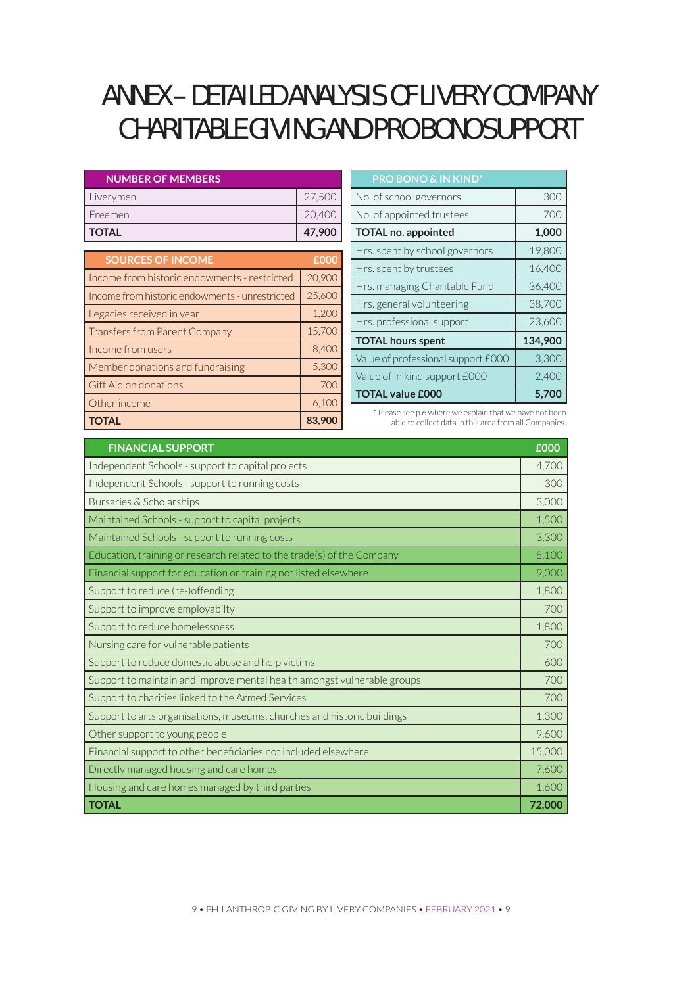### ANNEX – DETAILED ANALYSIS OF LIVERY COMPANY CHARITABLE GIVING AND PRO BONO SUPPORT

| <b>NUMBER OF MEMBERS</b>                       |        |
|------------------------------------------------|--------|
| Liverymen                                      | 27,500 |
| Freemen                                        | 20,400 |
| <b>TOTAL</b>                                   | 47,900 |
| <b>SOURCES OF INCOME</b>                       | £000   |
| Income from historic endowments - restricted   | 20,900 |
| Income from historic endowments - unrestricted | 25,600 |
| Legacies received in year                      | 1,200  |
| Transfers from Parent Company                  | 15,700 |
| Income from users                              | 8,400  |
| Member donations and fundraising               | 5,300  |
| Gift Aid on donations                          | 700    |
| Other income                                   | 6,100  |
| <b>TOTAL</b>                                   | 83,900 |

| <b>PRO BONO &amp; IN KIND*</b>     |         |
|------------------------------------|---------|
| No. of school governors            | 30C     |
| No. of appointed trustees          | 700     |
| <b>TOTAL no. appointed</b>         | 1,000   |
| Hrs. spent by school governors     | 19,800  |
| Hrs. spent by trustees             | 16,400  |
| Hrs. managing Charitable Fund      | 36,400  |
| Hrs. general volunteering          | 38,700  |
| Hrs. professional support          | 23,600  |
| <b>TOTAL hours spent</b>           | 134,900 |
| Value of professional support £000 | 3,300   |
| Value of in kind support £000      | 2,400   |
| <b>TOTAL value £000</b>            | 5.700   |

\* Please see p.6 where we explain that we have not been able to collect data in this area from all Companies.

| <b>FINANCIAL SUPPORT</b>                                                | £000   |
|-------------------------------------------------------------------------|--------|
| Independent Schools - support to capital projects                       | 4,700  |
| Independent Schools - support to running costs                          | 300    |
| Bursaries & Scholarships                                                | 3,000  |
| Maintained Schools - support to capital projects                        | 1,500  |
| Maintained Schools - support to running costs                           | 3,300  |
| Education, training or research related to the trade(s) of the Company  | 8,100  |
| Financial support for education or training not listed elsewhere        | 9,000  |
| Support to reduce (re-)offending                                        | 1,800  |
| Support to improve employabilty                                         | 700    |
| Support to reduce homelessness                                          | 1,800  |
| Nursing care for vulnerable patients                                    | 700    |
| Support to reduce domestic abuse and help victims                       | 600    |
| Support to maintain and improve mental health amongst vulnerable groups | 700    |
| Support to charities linked to the Armed Services                       | 700    |
| Support to arts organisations, museums, churches and historic buildings | 1,300  |
| Other support to young people                                           | 9,600  |
| Financial support to other beneficiaries not included elsewhere         | 15,000 |
| Directly managed housing and care homes                                 | 7,600  |
| Housing and care homes managed by third parties                         | 1,600  |
| <b>TOTAL</b>                                                            | 72,000 |